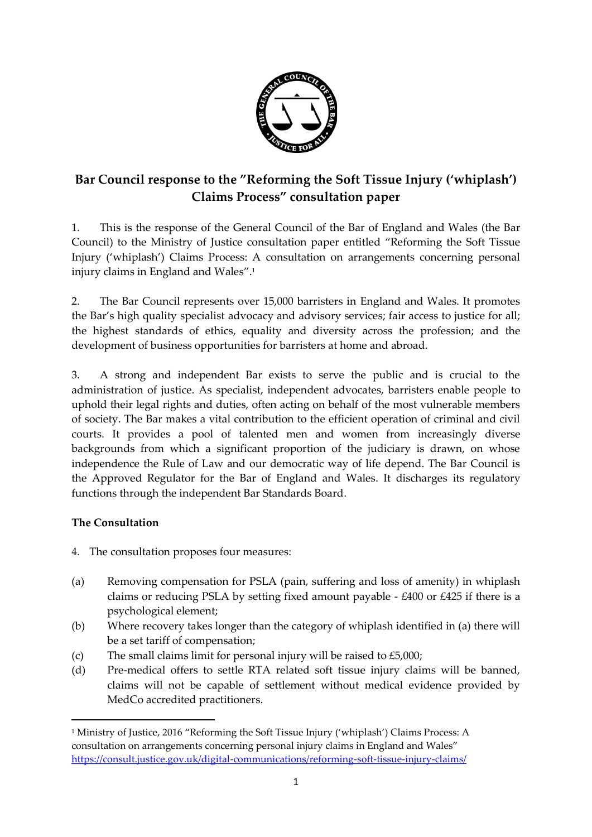

# **Bar Council response to the "Reforming the Soft Tissue Injury ('whiplash') Claims Process" consultation paper**

1. This is the response of the General Council of the Bar of England and Wales (the Bar Council) to the Ministry of Justice consultation paper entitled "Reforming the Soft Tissue Injury ('whiplash') Claims Process: A consultation on arrangements concerning personal injury claims in England and Wales". 1

2. The Bar Council represents over 15,000 barristers in England and Wales. It promotes the Bar's high quality specialist advocacy and advisory services; fair access to justice for all; the highest standards of ethics, equality and diversity across the profession; and the development of business opportunities for barristers at home and abroad.

3. A strong and independent Bar exists to serve the public and is crucial to the administration of justice. As specialist, independent advocates, barristers enable people to uphold their legal rights and duties, often acting on behalf of the most vulnerable members of society. The Bar makes a vital contribution to the efficient operation of criminal and civil courts. It provides a pool of talented men and women from increasingly diverse backgrounds from which a significant proportion of the judiciary is drawn, on whose independence the Rule of Law and our democratic way of life depend. The Bar Council is the Approved Regulator for the Bar of England and Wales. It discharges its regulatory functions through the independent Bar Standards Board.

# **The Consultation**

 $\overline{a}$ 

- 4. The consultation proposes four measures:
- (a) Removing compensation for PSLA (pain, suffering and loss of amenity) in whiplash claims or reducing PSLA by setting fixed amount payable - £400 or £425 if there is a psychological element;
- (b) Where recovery takes longer than the category of whiplash identified in (a) there will be a set tariff of compensation;
- (c) The small claims limit for personal injury will be raised to  $£5,000;$
- (d) Pre-medical offers to settle RTA related soft tissue injury claims will be banned, claims will not be capable of settlement without medical evidence provided by MedCo accredited practitioners.

<sup>1</sup> Ministry of Justice, 2016 "Reforming the Soft Tissue Injury ('whiplash') Claims Process: A consultation on arrangements concerning personal injury claims in England and Wales" <https://consult.justice.gov.uk/digital-communications/reforming-soft-tissue-injury-claims/>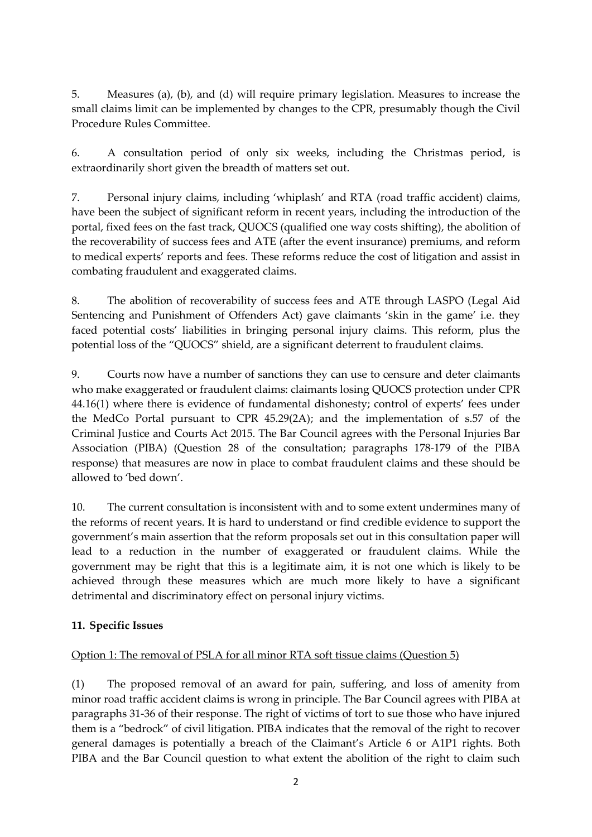5. Measures (a), (b), and (d) will require primary legislation. Measures to increase the small claims limit can be implemented by changes to the CPR, presumably though the Civil Procedure Rules Committee.

6. A consultation period of only six weeks, including the Christmas period, is extraordinarily short given the breadth of matters set out.

7. Personal injury claims, including 'whiplash' and RTA (road traffic accident) claims, have been the subject of significant reform in recent years, including the introduction of the portal, fixed fees on the fast track, QUOCS (qualified one way costs shifting), the abolition of the recoverability of success fees and ATE (after the event insurance) premiums, and reform to medical experts' reports and fees. These reforms reduce the cost of litigation and assist in combating fraudulent and exaggerated claims.

8. The abolition of recoverability of success fees and ATE through LASPO (Legal Aid Sentencing and Punishment of Offenders Act) gave claimants 'skin in the game' i.e. they faced potential costs' liabilities in bringing personal injury claims. This reform, plus the potential loss of the "QUOCS" shield, are a significant deterrent to fraudulent claims.

9. Courts now have a number of sanctions they can use to censure and deter claimants who make exaggerated or fraudulent claims: claimants losing QUOCS protection under CPR 44.16(1) where there is evidence of fundamental dishonesty; control of experts' fees under the MedCo Portal pursuant to CPR 45.29(2A); and the implementation of s.57 of the Criminal Justice and Courts Act 2015. The Bar Council agrees with the Personal Injuries Bar Association (PIBA) (Question 28 of the consultation; paragraphs 178-179 of the PIBA response) that measures are now in place to combat fraudulent claims and these should be allowed to 'bed down'.

10. The current consultation is inconsistent with and to some extent undermines many of the reforms of recent years. It is hard to understand or find credible evidence to support the government's main assertion that the reform proposals set out in this consultation paper will lead to a reduction in the number of exaggerated or fraudulent claims. While the government may be right that this is a legitimate aim, it is not one which is likely to be achieved through these measures which are much more likely to have a significant detrimental and discriminatory effect on personal injury victims.

# **11. Specific Issues**

# Option 1: The removal of PSLA for all minor RTA soft tissue claims (Question 5)

(1) The proposed removal of an award for pain, suffering, and loss of amenity from minor road traffic accident claims is wrong in principle. The Bar Council agrees with PIBA at paragraphs 31-36 of their response. The right of victims of tort to sue those who have injured them is a "bedrock" of civil litigation. PIBA indicates that the removal of the right to recover general damages is potentially a breach of the Claimant's Article 6 or A1P1 rights. Both PIBA and the Bar Council question to what extent the abolition of the right to claim such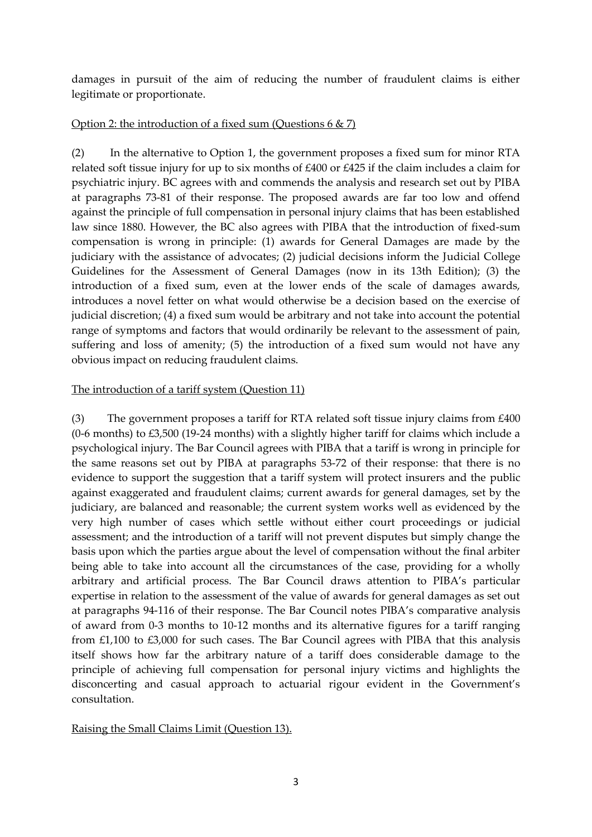damages in pursuit of the aim of reducing the number of fraudulent claims is either legitimate or proportionate.

### Option 2: the introduction of a fixed sum (Questions  $6 \& 7$ )

(2) In the alternative to Option 1, the government proposes a fixed sum for minor RTA related soft tissue injury for up to six months of £400 or £425 if the claim includes a claim for psychiatric injury. BC agrees with and commends the analysis and research set out by PIBA at paragraphs 73-81 of their response. The proposed awards are far too low and offend against the principle of full compensation in personal injury claims that has been established law since 1880. However, the BC also agrees with PIBA that the introduction of fixed-sum compensation is wrong in principle: (1) awards for General Damages are made by the judiciary with the assistance of advocates; (2) judicial decisions inform the Judicial College Guidelines for the Assessment of General Damages (now in its 13th Edition); (3) the introduction of a fixed sum, even at the lower ends of the scale of damages awards, introduces a novel fetter on what would otherwise be a decision based on the exercise of judicial discretion; (4) a fixed sum would be arbitrary and not take into account the potential range of symptoms and factors that would ordinarily be relevant to the assessment of pain, suffering and loss of amenity; (5) the introduction of a fixed sum would not have any obvious impact on reducing fraudulent claims.

### The introduction of a tariff system (Question 11)

(3) The government proposes a tariff for RTA related soft tissue injury claims from £400 (0-6 months) to £3,500 (19-24 months) with a slightly higher tariff for claims which include a psychological injury. The Bar Council agrees with PIBA that a tariff is wrong in principle for the same reasons set out by PIBA at paragraphs 53-72 of their response: that there is no evidence to support the suggestion that a tariff system will protect insurers and the public against exaggerated and fraudulent claims; current awards for general damages, set by the judiciary, are balanced and reasonable; the current system works well as evidenced by the very high number of cases which settle without either court proceedings or judicial assessment; and the introduction of a tariff will not prevent disputes but simply change the basis upon which the parties argue about the level of compensation without the final arbiter being able to take into account all the circumstances of the case, providing for a wholly arbitrary and artificial process. The Bar Council draws attention to PIBA's particular expertise in relation to the assessment of the value of awards for general damages as set out at paragraphs 94-116 of their response. The Bar Council notes PIBA's comparative analysis of award from 0-3 months to 10-12 months and its alternative figures for a tariff ranging from £1,100 to £3,000 for such cases. The Bar Council agrees with PIBA that this analysis itself shows how far the arbitrary nature of a tariff does considerable damage to the principle of achieving full compensation for personal injury victims and highlights the disconcerting and casual approach to actuarial rigour evident in the Government's consultation.

### Raising the Small Claims Limit (Question 13).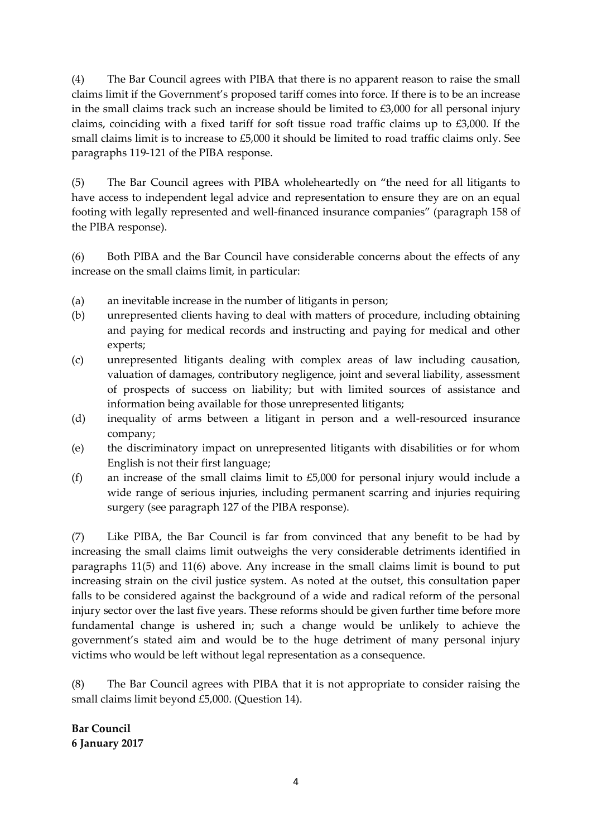(4) The Bar Council agrees with PIBA that there is no apparent reason to raise the small claims limit if the Government's proposed tariff comes into force. If there is to be an increase in the small claims track such an increase should be limited to  $£3,000$  for all personal injury claims, coinciding with a fixed tariff for soft tissue road traffic claims up to £3,000. If the small claims limit is to increase to £5,000 it should be limited to road traffic claims only. See paragraphs 119-121 of the PIBA response.

(5) The Bar Council agrees with PIBA wholeheartedly on "the need for all litigants to have access to independent legal advice and representation to ensure they are on an equal footing with legally represented and well-financed insurance companies" (paragraph 158 of the PIBA response).

(6) Both PIBA and the Bar Council have considerable concerns about the effects of any increase on the small claims limit, in particular:

- (a) an inevitable increase in the number of litigants in person;
- (b) unrepresented clients having to deal with matters of procedure, including obtaining and paying for medical records and instructing and paying for medical and other experts;
- (c) unrepresented litigants dealing with complex areas of law including causation, valuation of damages, contributory negligence, joint and several liability, assessment of prospects of success on liability; but with limited sources of assistance and information being available for those unrepresented litigants;
- (d) inequality of arms between a litigant in person and a well-resourced insurance company;
- (e) the discriminatory impact on unrepresented litigants with disabilities or for whom English is not their first language;
- (f) an increase of the small claims limit to £5,000 for personal injury would include a wide range of serious injuries, including permanent scarring and injuries requiring surgery (see paragraph 127 of the PIBA response).

(7) Like PIBA, the Bar Council is far from convinced that any benefit to be had by increasing the small claims limit outweighs the very considerable detriments identified in paragraphs 11(5) and 11(6) above. Any increase in the small claims limit is bound to put increasing strain on the civil justice system. As noted at the outset, this consultation paper falls to be considered against the background of a wide and radical reform of the personal injury sector over the last five years. These reforms should be given further time before more fundamental change is ushered in; such a change would be unlikely to achieve the government's stated aim and would be to the huge detriment of many personal injury victims who would be left without legal representation as a consequence.

(8) The Bar Council agrees with PIBA that it is not appropriate to consider raising the small claims limit beyond £5,000. (Question 14).

**Bar Council 6 January 2017**